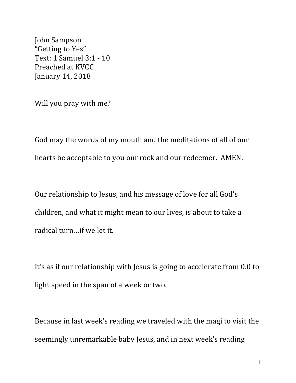John Sampson "Getting to Yes" Text: 1 Samuel 3:1 - 10 Preached at KVCC January 14, 2018

Will you pray with me?

God may the words of my mouth and the meditations of all of our hearts be acceptable to you our rock and our redeemer. AMEN.

Our relationship to Jesus, and his message of love for all God's children, and what it might mean to our lives, is about to take a radical turn ... if we let it.

It's as if our relationship with Jesus is going to accelerate from 0.0 to light speed in the span of a week or two.

Because in last week's reading we traveled with the magi to visit the seemingly unremarkable baby Jesus, and in next week's reading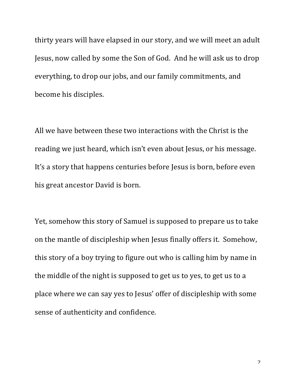thirty years will have elapsed in our story, and we will meet an adult Jesus, now called by some the Son of God. And he will ask us to drop everything, to drop our jobs, and our family commitments, and become his disciples.

All we have between these two interactions with the Christ is the reading we just heard, which isn't even about Jesus, or his message. It's a story that happens centuries before Jesus is born, before even his great ancestor David is born.

Yet, somehow this story of Samuel is supposed to prepare us to take on the mantle of discipleship when Jesus finally offers it. Somehow, this story of a boy trying to figure out who is calling him by name in the middle of the night is supposed to get us to yes, to get us to a place where we can say yes to Jesus' offer of discipleship with some sense of authenticity and confidence.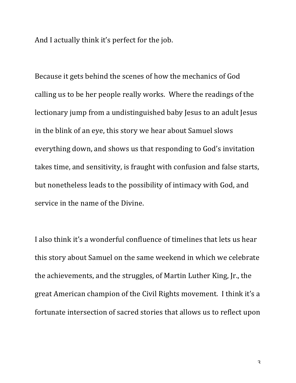And I actually think it's perfect for the job.

Because it gets behind the scenes of how the mechanics of God calling us to be her people really works. Where the readings of the lectionary jump from a undistinguished baby Jesus to an adult Jesus in the blink of an eye, this story we hear about Samuel slows everything down, and shows us that responding to God's invitation takes time, and sensitivity, is fraught with confusion and false starts, but nonetheless leads to the possibility of intimacy with God, and service in the name of the Divine.

I also think it's a wonderful confluence of timelines that lets us hear this story about Samuel on the same weekend in which we celebrate the achievements, and the struggles, of Martin Luther King, Jr., the great American champion of the Civil Rights movement. I think it's a fortunate intersection of sacred stories that allows us to reflect upon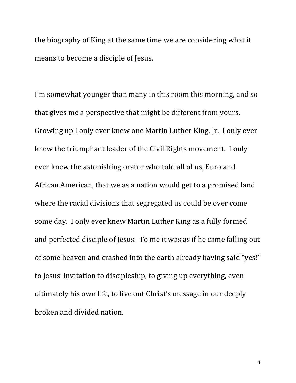the biography of King at the same time we are considering what it means to become a disciple of Jesus.

I'm somewhat younger than many in this room this morning, and so that gives me a perspective that might be different from yours. Growing up I only ever knew one Martin Luther King, Jr. I only ever knew the triumphant leader of the Civil Rights movement. I only ever knew the astonishing orator who told all of us, Euro and African American, that we as a nation would get to a promised land where the racial divisions that segregated us could be over come some day. I only ever knew Martin Luther King as a fully formed and perfected disciple of Jesus. To me it was as if he came falling out of some heaven and crashed into the earth already having said "yes!" to Jesus' invitation to discipleship, to giving up everything, even ultimately his own life, to live out Christ's message in our deeply broken and divided nation.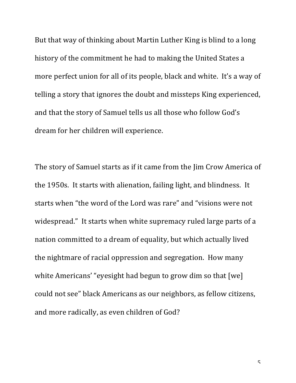But that way of thinking about Martin Luther King is blind to a long history of the commitment he had to making the United States a more perfect union for all of its people, black and white. It's a way of telling a story that ignores the doubt and missteps King experienced, and that the story of Samuel tells us all those who follow God's dream for her children will experience.

The story of Samuel starts as if it came from the Jim Crow America of the 1950s. It starts with alienation, failing light, and blindness. It starts when "the word of the Lord was rare" and "visions were not widespread." It starts when white supremacy ruled large parts of a nation committed to a dream of equality, but which actually lived the nightmare of racial oppression and segregation. How many white Americans' "eyesight had begun to grow dim so that [we] could not see" black Americans as our neighbors, as fellow citizens, and more radically, as even children of God?

 $\overline{\mathsf{c}}$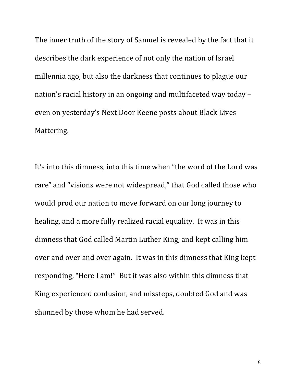The inner truth of the story of Samuel is revealed by the fact that it describes the dark experience of not only the nation of Israel millennia ago, but also the darkness that continues to plague our nation's racial history in an ongoing and multifaceted way today – even on yesterday's Next Door Keene posts about Black Lives Mattering.

It's into this dimness, into this time when "the word of the Lord was rare" and "visions were not widespread," that God called those who would prod our nation to move forward on our long journey to healing, and a more fully realized racial equality. It was in this dimness that God called Martin Luther King, and kept calling him over and over and over again. It was in this dimness that King kept responding, "Here I am!" But it was also within this dimness that King experienced confusion, and missteps, doubted God and was shunned by those whom he had served.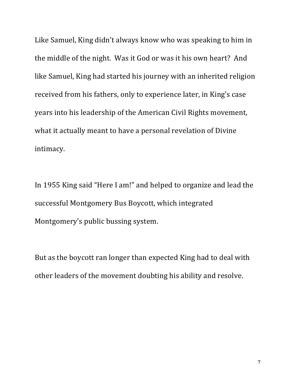Like Samuel, King didn't always know who was speaking to him in the middle of the night. Was it God or was it his own heart? And like Samuel, King had started his journey with an inherited religion received from his fathers, only to experience later, in King's case years into his leadership of the American Civil Rights movement, what it actually meant to have a personal revelation of Divine intimacy. 

In 1955 King said "Here I am!" and helped to organize and lead the successful Montgomery Bus Boycott, which integrated Montgomery's public bussing system.

But as the boycott ran longer than expected King had to deal with other leaders of the movement doubting his ability and resolve.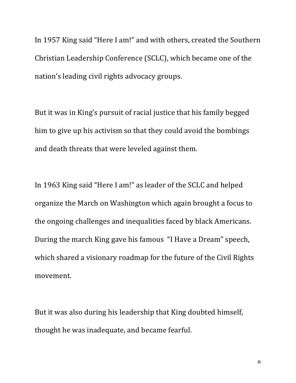In 1957 King said "Here I am!" and with others, created the Southern Christian Leadership Conference (SCLC), which became one of the nation's leading civil rights advocacy groups.

But it was in King's pursuit of racial justice that his family begged him to give up his activism so that they could avoid the bombings and death threats that were leveled against them.

In 1963 King said "Here I am!" as leader of the SCLC and helped organize the March on Washington which again brought a focus to the ongoing challenges and inequalities faced by black Americans. During the march King gave his famous "I Have a Dream" speech, which shared a visionary roadmap for the future of the Civil Rights movement.

But it was also during his leadership that King doubted himself, thought he was inadequate, and became fearful.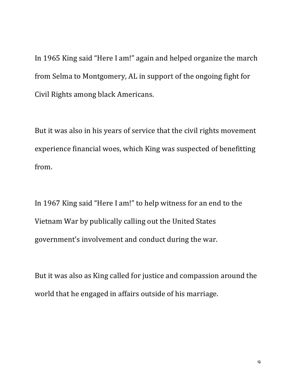In 1965 King said "Here I am!" again and helped organize the march from Selma to Montgomery, AL in support of the ongoing fight for Civil Rights among black Americans.

But it was also in his years of service that the civil rights movement experience financial woes, which King was suspected of benefitting from.

In 1967 King said "Here I am!" to help witness for an end to the Vietnam War by publically calling out the United States government's involvement and conduct during the war.

But it was also as King called for justice and compassion around the world that he engaged in affairs outside of his marriage.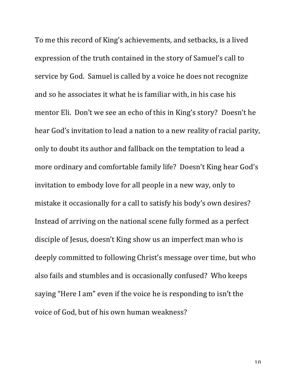To me this record of King's achievements, and setbacks, is a lived expression of the truth contained in the story of Samuel's call to service by God. Samuel is called by a voice he does not recognize and so he associates it what he is familiar with, in his case his mentor Eli. Don't we see an echo of this in King's story? Doesn't he hear God's invitation to lead a nation to a new reality of racial parity, only to doubt its author and fallback on the temptation to lead a more ordinary and comfortable family life? Doesn't King hear God's invitation to embody love for all people in a new way, only to mistake it occasionally for a call to satisfy his body's own desires? Instead of arriving on the national scene fully formed as a perfect disciple of Jesus, doesn't King show us an imperfect man who is deeply committed to following Christ's message over time, but who also fails and stumbles and is occasionally confused? Who keeps saying "Here I am" even if the voice he is responding to isn't the voice of God, but of his own human weakness?

 $1<sub>0</sub>$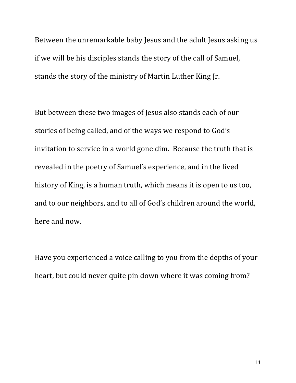Between the unremarkable baby Jesus and the adult Jesus asking us if we will be his disciples stands the story of the call of Samuel, stands the story of the ministry of Martin Luther King Jr.

But between these two images of Jesus also stands each of our stories of being called, and of the ways we respond to God's invitation to service in a world gone dim. Because the truth that is revealed in the poetry of Samuel's experience, and in the lived history of King, is a human truth, which means it is open to us too, and to our neighbors, and to all of God's children around the world, here and now.

Have you experienced a voice calling to you from the depths of your heart, but could never quite pin down where it was coming from?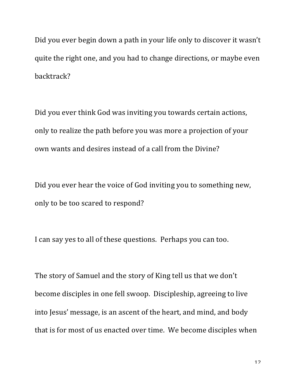Did you ever begin down a path in your life only to discover it wasn't quite the right one, and you had to change directions, or maybe even backtrack?

Did you ever think God was inviting you towards certain actions, only to realize the path before you was more a projection of your own wants and desires instead of a call from the Divine?

Did you ever hear the voice of God inviting you to something new, only to be too scared to respond?

I can say yes to all of these questions. Perhaps you can too.

The story of Samuel and the story of King tell us that we don't become disciples in one fell swoop. Discipleship, agreeing to live into Jesus' message, is an ascent of the heart, and mind, and body that is for most of us enacted over time. We become disciples when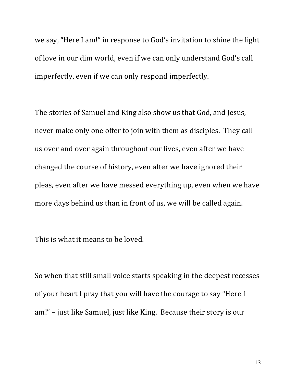we say, "Here I am!" in response to God's invitation to shine the light of love in our dim world, even if we can only understand God's call imperfectly, even if we can only respond imperfectly.

The stories of Samuel and King also show us that God, and Jesus, never make only one offer to join with them as disciples. They call us over and over again throughout our lives, even after we have changed the course of history, even after we have ignored their pleas, even after we have messed everything up, even when we have more days behind us than in front of us, we will be called again.

This is what it means to be loved.

So when that still small voice starts speaking in the deepest recesses of your heart I pray that you will have the courage to say "Here I am!" – just like Samuel, just like King. Because their story is our